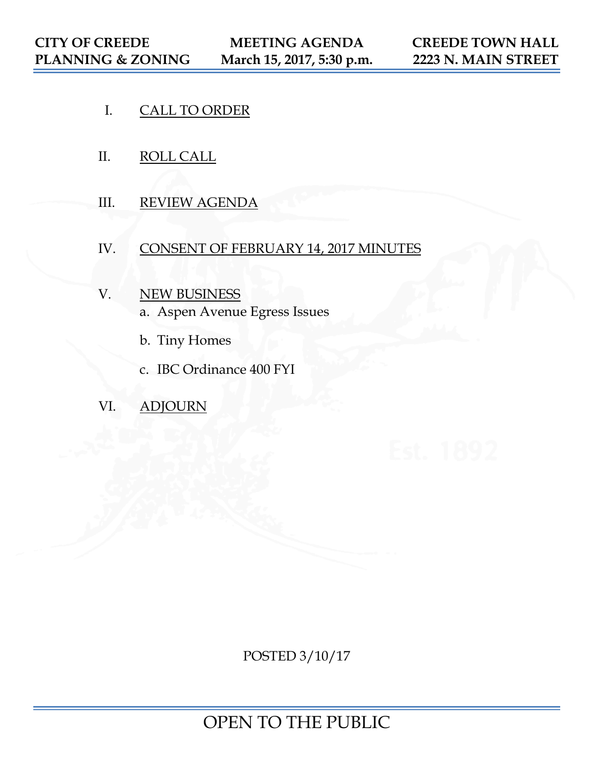- I. CALL TO ORDER
- II. ROLL CALL
- III. REVIEW AGENDA
- IV. CONSENT OF FEBRUARY 14, 2017 MINUTES
- V. NEW BUSINESS a. Aspen Avenue Egress Issues
	- b. Tiny Homes

c. IBC Ordinance 400 FYI

VI. ADJOURN

POSTED 3/10/17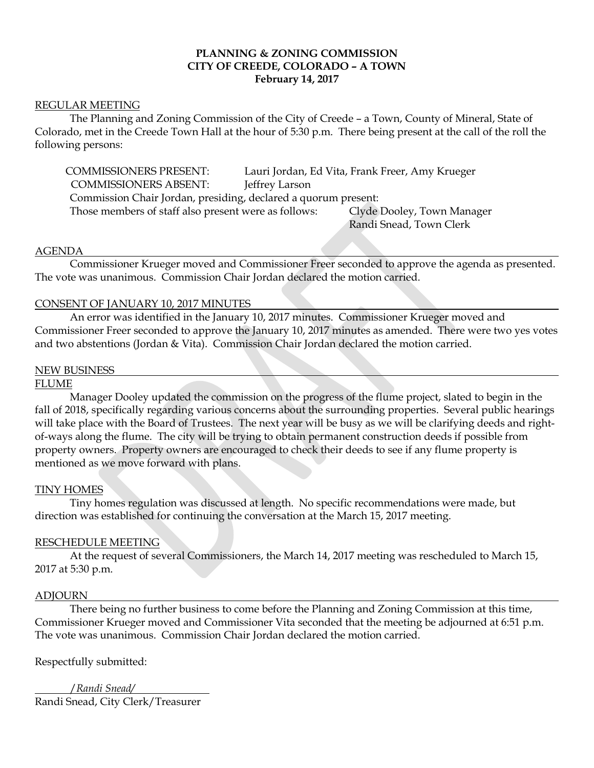## **PLANNING & ZONING COMMISSION CITY OF CREEDE, COLORADO – A TOWN February 14, 2017**

### REGULAR MEETING

The Planning and Zoning Commission of the City of Creede – a Town, County of Mineral, State of Colorado, met in the Creede Town Hall at the hour of 5:30 p.m. There being present at the call of the roll the following persons:

COMMISSIONERS PRESENT: Lauri Jordan, Ed Vita, Frank Freer, Amy Krueger COMMISSIONERS ABSENT: Jeffrey Larson Commission Chair Jordan, presiding, declared a quorum present: Those members of staff also present were as follows: Clyde Dooley, Town Manager

Randi Snead, Town Clerk

### AGENDA

Commissioner Krueger moved and Commissioner Freer seconded to approve the agenda as presented. The vote was unanimous. Commission Chair Jordan declared the motion carried.

## CONSENT OF JANUARY 10, 2017 MINUTES

 An error was identified in the January 10, 2017 minutes. Commissioner Krueger moved and Commissioner Freer seconded to approve the January 10, 2017 minutes as amended. There were two yes votes and two abstentions (Jordan & Vita). Commission Chair Jordan declared the motion carried.

### NEW BUSINESS

### FLUME

Manager Dooley updated the commission on the progress of the flume project, slated to begin in the fall of 2018, specifically regarding various concerns about the surrounding properties. Several public hearings will take place with the Board of Trustees. The next year will be busy as we will be clarifying deeds and rightof-ways along the flume. The city will be trying to obtain permanent construction deeds if possible from property owners. Property owners are encouraged to check their deeds to see if any flume property is mentioned as we move forward with plans.

### TINY HOMES

Tiny homes regulation was discussed at length. No specific recommendations were made, but direction was established for continuing the conversation at the March 15, 2017 meeting.

### RESCHEDULE MEETING

 At the request of several Commissioners, the March 14, 2017 meeting was rescheduled to March 15, 2017 at 5:30 p.m.

### ADJOURN

There being no further business to come before the Planning and Zoning Commission at this time, Commissioner Krueger moved and Commissioner Vita seconded that the meeting be adjourned at 6:51 p.m. The vote was unanimous. Commission Chair Jordan declared the motion carried.

Respectfully submitted:

/*Randi Snead/* Randi Snead, City Clerk/Treasurer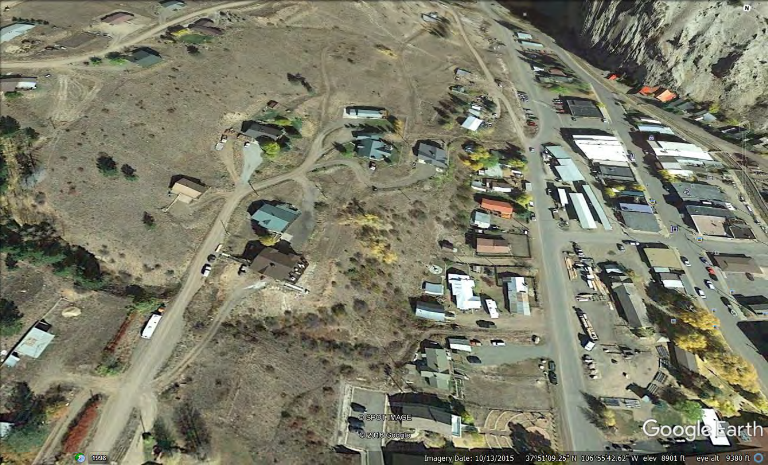

Google Earth Imagery Date: 10/13/2015 37°51'09.25" N 106°55'42.62" W elev 8901 ft eye alt 9380 ft O

 $= 1$ 

**CALL SERVICE** 

 $\Phi$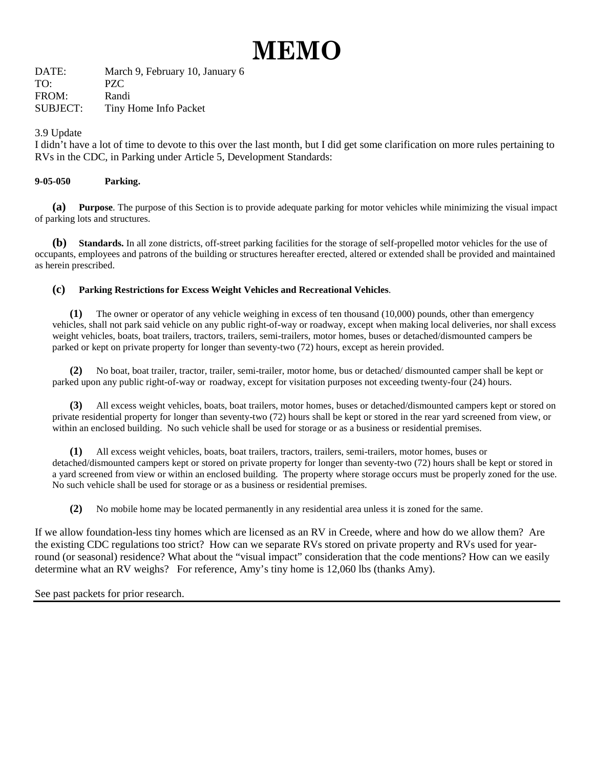# **MEMO**

DATE: March 9, February 10, January 6 TO: PZC FROM: Randi SUBJECT: Tiny Home Info Packet

### 3.9 Update

I didn't have a lot of time to devote to this over the last month, but I did get some clarification on more rules pertaining to RVs in the CDC, in Parking under Article 5, Development Standards:

### **9-05-050 Parking.**

**(a) Purpose**. The purpose of this Section is to provide adequate parking for motor vehicles while minimizing the visual impact of parking lots and structures.

**Standards.** In all zone districts, off-street parking facilities for the storage of self-propelled motor vehicles for the use of occupants, employees and patrons of the building or structures hereafter erected, altered or extended shall be provided and maintained as herein prescribed.

#### **(c) Parking Restrictions for Excess Weight Vehicles and Recreational Vehicles**.

**(1)** The owner or operator of any vehicle weighing in excess of ten thousand (10,000) pounds, other than emergency vehicles, shall not park said vehicle on any public right-of-way or roadway, except when making local deliveries, nor shall excess weight vehicles, boats, boat trailers, tractors, trailers, semi-trailers, motor homes, buses or detached/dismounted campers be parked or kept on private property for longer than seventy-two (72) hours, except as herein provided.

**(2)** No boat, boat trailer, tractor, trailer, semi-trailer, motor home, bus or detached/ dismounted camper shall be kept or parked upon any public right-of-way or roadway, except for visitation purposes not exceeding twenty-four (24) hours.

**(3)** All excess weight vehicles, boats, boat trailers, motor homes, buses or detached/dismounted campers kept or stored on private residential property for longer than seventy-two (72) hours shall be kept or stored in the rear yard screened from view, or within an enclosed building. No such vehicle shall be used for storage or as a business or residential premises.

**(1)** All excess weight vehicles, boats, boat trailers, tractors, trailers, semi-trailers, motor homes, buses or detached/dismounted campers kept or stored on private property for longer than seventy-two (72) hours shall be kept or stored in a yard screened from view or within an enclosed building. The property where storage occurs must be properly zoned for the use. No such vehicle shall be used for storage or as a business or residential premises.

**(2)** No mobile home may be located permanently in any residential area unless it is zoned for the same.

If we allow foundation-less tiny homes which are licensed as an RV in Creede, where and how do we allow them? Are the existing CDC regulations too strict? How can we separate RVs stored on private property and RVs used for yearround (or seasonal) residence? What about the "visual impact" consideration that the code mentions? How can we easily determine what an RV weighs? For reference, Amy's tiny home is 12,060 lbs (thanks Amy).

See past packets for prior research.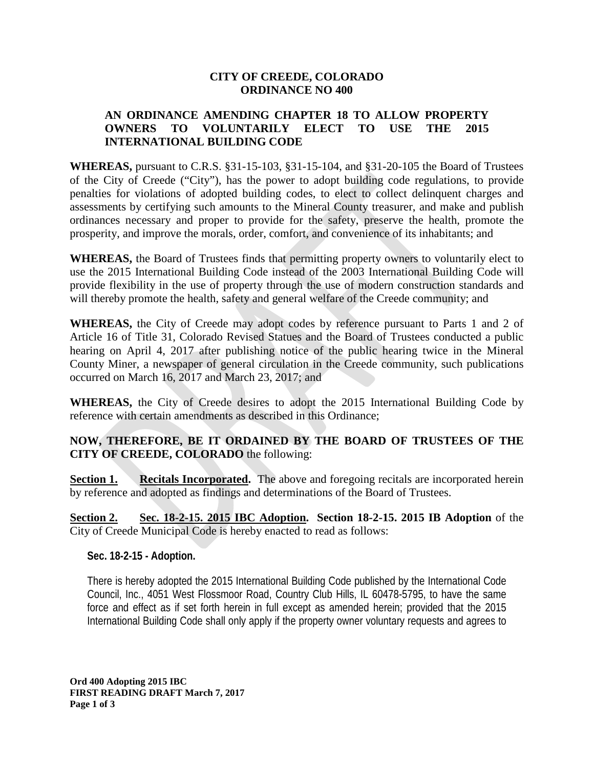## **CITY OF CREEDE, COLORADO ORDINANCE NO 400**

# **AN ORDINANCE AMENDING CHAPTER 18 TO ALLOW PROPERTY OWNERS TO VOLUNTARILY ELECT TO USE THE 2015 INTERNATIONAL BUILDING CODE**

**WHEREAS,** pursuant to C.R.S. §31-15-103, §31-15-104, and §31-20-105 the Board of Trustees of the City of Creede ("City"), has the power to adopt building code regulations, to provide penalties for violations of adopted building codes, to elect to collect delinquent charges and assessments by certifying such amounts to the Mineral County treasurer, and make and publish ordinances necessary and proper to provide for the safety, preserve the health, promote the prosperity, and improve the morals, order, comfort, and convenience of its inhabitants; and

**WHEREAS,** the Board of Trustees finds that permitting property owners to voluntarily elect to use the 2015 International Building Code instead of the 2003 International Building Code will provide flexibility in the use of property through the use of modern construction standards and will thereby promote the health, safety and general welfare of the Creede community; and

**WHEREAS,** the City of Creede may adopt codes by reference pursuant to Parts 1 and 2 of Article 16 of Title 31, Colorado Revised Statues and the Board of Trustees conducted a public hearing on April 4, 2017 after publishing notice of the public hearing twice in the Mineral County Miner, a newspaper of general circulation in the Creede community, such publications occurred on March 16, 2017 and March 23, 2017; and

**WHEREAS,** the City of Creede desires to adopt the 2015 International Building Code by reference with certain amendments as described in this Ordinance;

# **NOW, THEREFORE, BE IT ORDAINED BY THE BOARD OF TRUSTEES OF THE CITY OF CREEDE, COLORADO** the following:

**Section 1. Recitals Incorporated.** The above and foregoing recitals are incorporated herein by reference and adopted as findings and determinations of the Board of Trustees.

**Section 2. Sec. 18-2-15. 2015 IBC Adoption. Section 18-2-15. 2015 IB Adoption** of the City of Creede Municipal Code is hereby enacted to read as follows:

**Sec. 18-2-15 - Adoption.** 

There is hereby adopted the 2015 International Building Code published by the International Code Council, Inc., 4051 West Flossmoor Road, Country Club Hills, IL 60478-5795, to have the same force and effect as if set forth herein in full except as amended herein; provided that the 2015 International Building Code shall only apply if the property owner voluntary requests and agrees to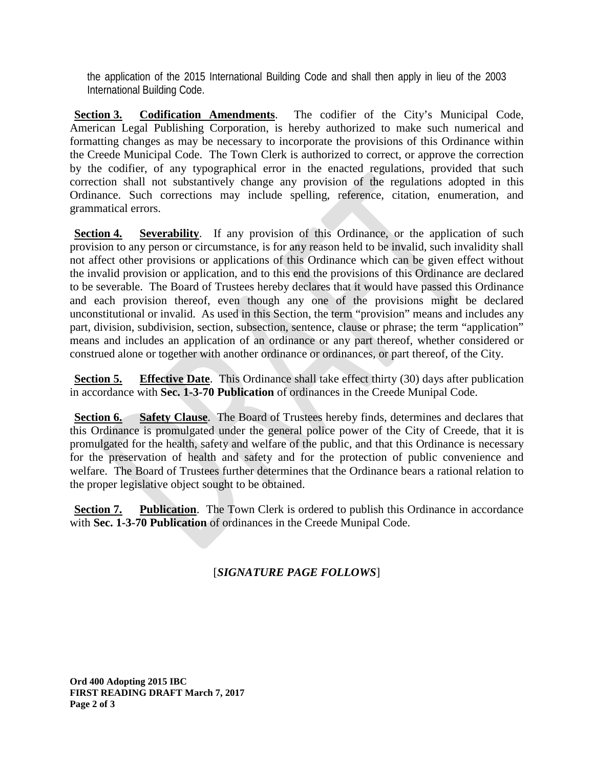the application of the 2015 International Building Code and shall then apply in lieu of the 2003 International Building Code.

**Section 3. Codification Amendments**. The codifier of the City's Municipal Code, American Legal Publishing Corporation, is hereby authorized to make such numerical and formatting changes as may be necessary to incorporate the provisions of this Ordinance within the Creede Municipal Code. The Town Clerk is authorized to correct, or approve the correction by the codifier, of any typographical error in the enacted regulations, provided that such correction shall not substantively change any provision of the regulations adopted in this Ordinance. Such corrections may include spelling, reference, citation, enumeration, and grammatical errors.

**Section 4.** Severability. If any provision of this Ordinance, or the application of such provision to any person or circumstance, is for any reason held to be invalid, such invalidity shall not affect other provisions or applications of this Ordinance which can be given effect without the invalid provision or application, and to this end the provisions of this Ordinance are declared to be severable. The Board of Trustees hereby declares that it would have passed this Ordinance and each provision thereof, even though any one of the provisions might be declared unconstitutional or invalid. As used in this Section, the term "provision" means and includes any part, division, subdivision, section, subsection, sentence, clause or phrase; the term "application" means and includes an application of an ordinance or any part thereof, whether considered or construed alone or together with another ordinance or ordinances, or part thereof, of the City.

**Section 5. Effective Date**. This Ordinance shall take effect thirty (30) days after publication in accordance with **Sec. 1-3-70 Publication** of ordinances in the Creede Munipal Code.

**Section 6. Safety Clause**. The Board of Trustees hereby finds, determines and declares that this Ordinance is promulgated under the general police power of the City of Creede, that it is promulgated for the health, safety and welfare of the public, and that this Ordinance is necessary for the preservation of health and safety and for the protection of public convenience and welfare. The Board of Trustees further determines that the Ordinance bears a rational relation to the proper legislative object sought to be obtained.

**Section 7. Publication**. The Town Clerk is ordered to publish this Ordinance in accordance with **Sec. 1-3-70 Publication** of ordinances in the Creede Munipal Code.

# [*SIGNATURE PAGE FOLLOWS*]

**Ord 400 Adopting 2015 IBC FIRST READING DRAFT March 7, 2017 Page 2 of 3**